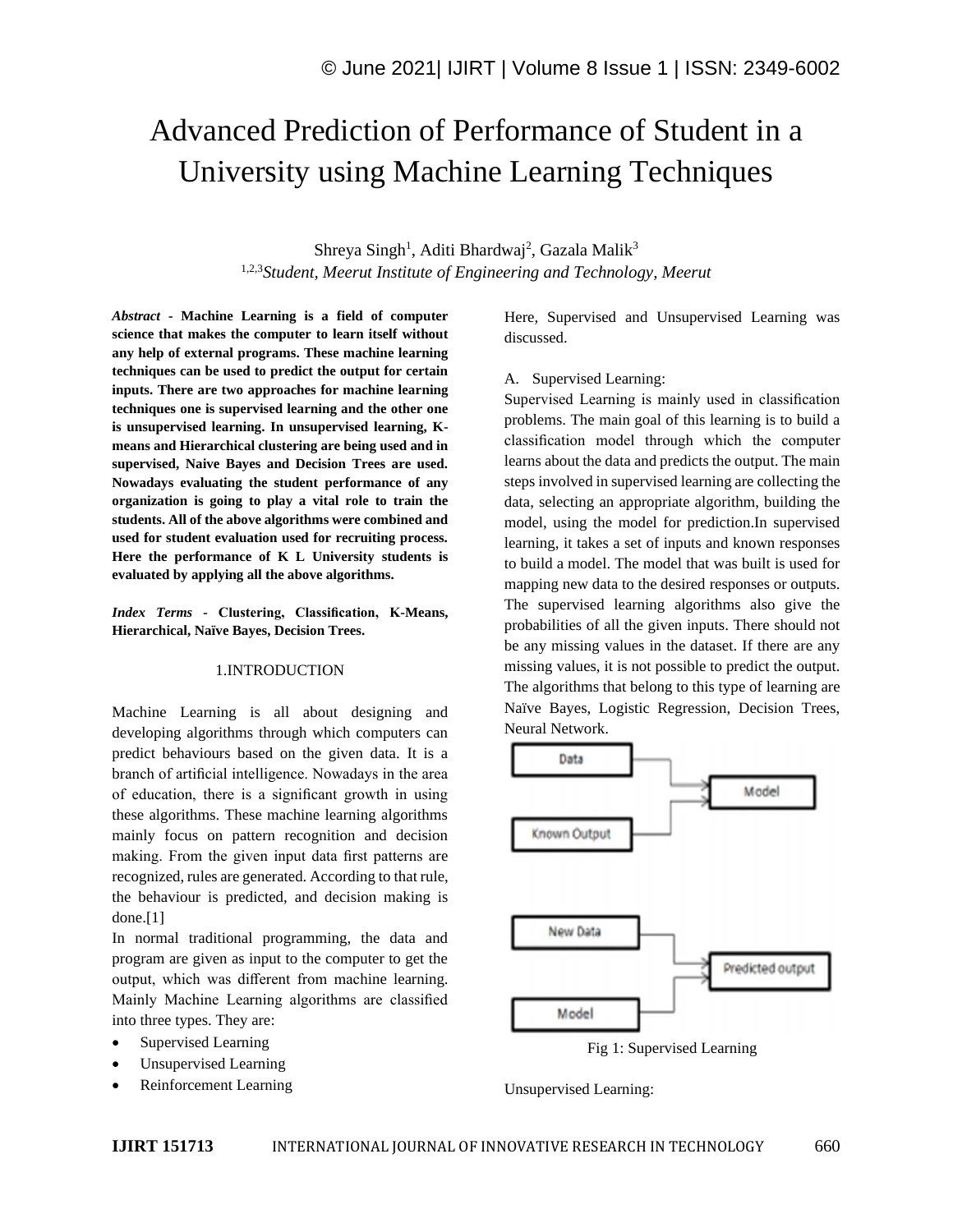# Advanced Prediction of Performance of Student in a University using Machine Learning Techniques

Shreya Singh<sup>1</sup>, Aditi Bhardwaj<sup>2</sup>, Gazala Malik<sup>3</sup> 1,2,3*Student, Meerut Institute of Engineering and Technology, Meerut*

*Abstract -* **Machine Learning is a field of computer science that makes the computer to learn itself without any help of external programs. These machine learning techniques can be used to predict the output for certain inputs. There are two approaches for machine learning techniques one is supervised learning and the other one is unsupervised learning. In unsupervised learning, Kmeans and Hierarchical clustering are being used and in supervised, Naive Bayes and Decision Trees are used. Nowadays evaluating the student performance of any organization is going to play a vital role to train the students. All of the above algorithms were combined and used for student evaluation used for recruiting process. Here the performance of K L University students is evaluated by applying all the above algorithms.**

*Index Terms -* **Clustering, Classification, K-Means, Hierarchical, Naïve Bayes, Decision Trees.**

#### 1.INTRODUCTION

Machine Learning is all about designing and developing algorithms through which computers can predict behaviours based on the given data. It is a branch of artificial intelligence. Nowadays in the area of education, there is a significant growth in using these algorithms. These machine learning algorithms mainly focus on pattern recognition and decision making. From the given input data first patterns are recognized, rules are generated. According to that rule, the behaviour is predicted, and decision making is done.[1]

In normal traditional programming, the data and program are given as input to the computer to get the output, which was different from machine learning. Mainly Machine Learning algorithms are classified into three types. They are:

- Supervised Learning
- Unsupervised Learning
- Reinforcement Learning

Here, Supervised and Unsupervised Learning was discussed.

#### A. Supervised Learning:

Supervised Learning is mainly used in classification problems. The main goal of this learning is to build a classification model through which the computer learns about the data and predicts the output. The main steps involved in supervised learning are collecting the data, selecting an appropriate algorithm, building the model, using the model for prediction.In supervised learning, it takes a set of inputs and known responses to build a model. The model that was built is used for mapping new data to the desired responses or outputs. The supervised learning algorithms also give the probabilities of all the given inputs. There should not be any missing values in the dataset. If there are any missing values, it is not possible to predict the output. The algorithms that belong to this type of learning are Naïve Bayes, Logistic Regression, Decision Trees, Neural Network.



Fig 1: Supervised Learning

Unsupervised Learning: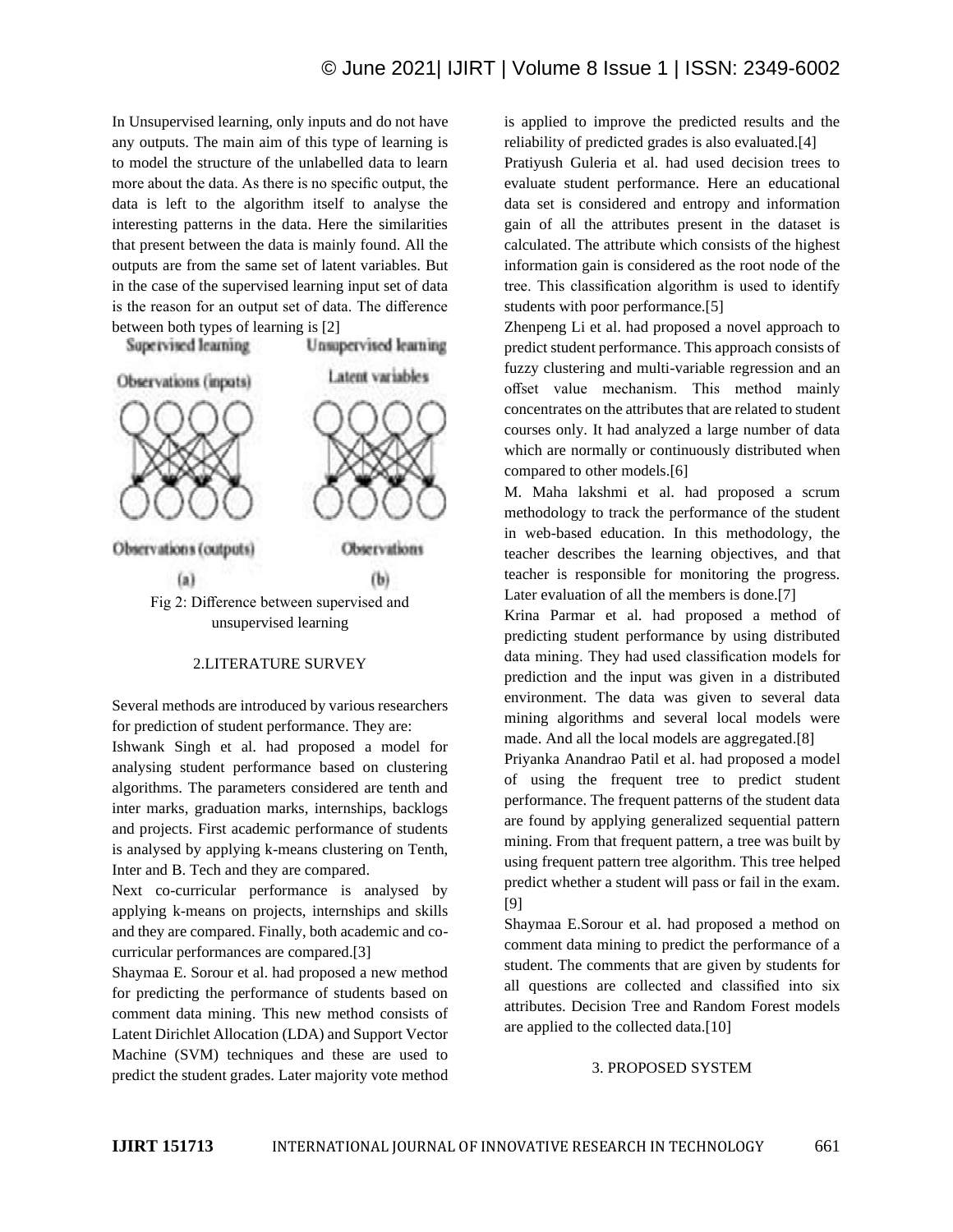In Unsupervised learning, only inputs and do not have any outputs. The main aim of this type of learning is to model the structure of the unlabelled data to learn more about the data. As there is no specific output, the data is left to the algorithm itself to analyse the interesting patterns in the data. Here the similarities that present between the data is mainly found. All the outputs are from the same set of latent variables. But in the case of the supervised learning input set of data is the reason for an output set of data. The difference between both types of learning is [2]

Unsupervised learning

Supervised learning



#### 2.LITERATURE SURVEY

Several methods are introduced by various researchers for prediction of student performance. They are:

Ishwank Singh et al. had proposed a model for analysing student performance based on clustering algorithms. The parameters considered are tenth and inter marks, graduation marks, internships, backlogs and projects. First academic performance of students is analysed by applying k-means clustering on Tenth, Inter and B. Tech and they are compared.

Next co-curricular performance is analysed by applying k-means on projects, internships and skills and they are compared. Finally, both academic and cocurricular performances are compared.[3]

Shaymaa E. Sorour et al. had proposed a new method for predicting the performance of students based on comment data mining. This new method consists of Latent Dirichlet Allocation (LDA) and Support Vector Machine (SVM) techniques and these are used to predict the student grades. Later majority vote method is applied to improve the predicted results and the reliability of predicted grades is also evaluated.[4]

Pratiyush Guleria et al. had used decision trees to evaluate student performance. Here an educational data set is considered and entropy and information gain of all the attributes present in the dataset is calculated. The attribute which consists of the highest information gain is considered as the root node of the tree. This classification algorithm is used to identify students with poor performance.[5]

Zhenpeng Li et al. had proposed a novel approach to predict student performance. This approach consists of fuzzy clustering and multi-variable regression and an offset value mechanism. This method mainly concentrates on the attributes that are related to student courses only. It had analyzed a large number of data which are normally or continuously distributed when compared to other models.[6]

M. Maha lakshmi et al. had proposed a scrum methodology to track the performance of the student in web-based education. In this methodology, the teacher describes the learning objectives, and that teacher is responsible for monitoring the progress. Later evaluation of all the members is done.[7]

Krina Parmar et al. had proposed a method of predicting student performance by using distributed data mining. They had used classification models for prediction and the input was given in a distributed environment. The data was given to several data mining algorithms and several local models were made. And all the local models are aggregated.[8]

Priyanka Anandrao Patil et al. had proposed a model of using the frequent tree to predict student performance. The frequent patterns of the student data are found by applying generalized sequential pattern mining. From that frequent pattern, a tree was built by using frequent pattern tree algorithm. This tree helped predict whether a student will pass or fail in the exam. [9]

Shaymaa E.Sorour et al. had proposed a method on comment data mining to predict the performance of a student. The comments that are given by students for all questions are collected and classified into six attributes. Decision Tree and Random Forest models are applied to the collected data.[10]

# 3. PROPOSED SYSTEM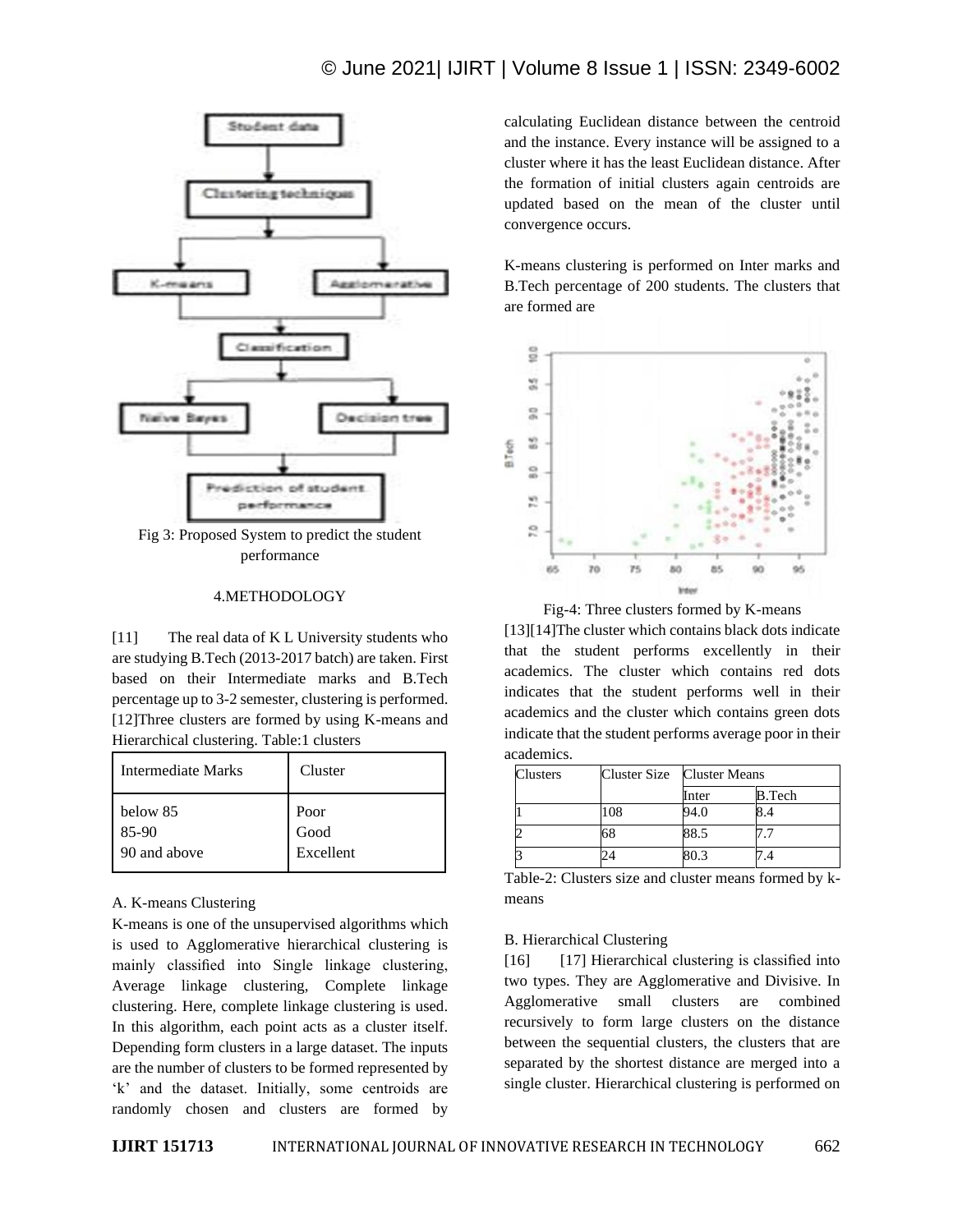# © June 2021| IJIRT | Volume 8 Issue 1 | ISSN: 2349-6002



Fig 3: Proposed System to predict the student performance

#### 4.METHODOLOGY

[11] The real data of K L University students who are studying B.Tech (2013-2017 batch) are taken. First based on their Intermediate marks and B.Tech percentage up to 3-2 semester, clustering is performed. [12]Three clusters are formed by using K-means and Hierarchical clustering. Table:1 clusters

| Intermediate Marks | Cluster   |
|--------------------|-----------|
| below 85           | Poor      |
| 85-90              | Good      |
| 90 and above       | Excellent |

#### A. K-means Clustering

K-means is one of the unsupervised algorithms which is used to Agglomerative hierarchical clustering is mainly classified into Single linkage clustering, Average linkage clustering, Complete linkage clustering. Here, complete linkage clustering is used. In this algorithm, each point acts as a cluster itself. Depending form clusters in a large dataset. The inputs are the number of clusters to be formed represented by 'k' and the dataset. Initially, some centroids are randomly chosen and clusters are formed by calculating Euclidean distance between the centroid and the instance. Every instance will be assigned to a cluster where it has the least Euclidean distance. After the formation of initial clusters again centroids are updated based on the mean of the cluster until convergence occurs.

K-means clustering is performed on Inter marks and B.Tech percentage of 200 students. The clusters that are formed are



Fig-4: Three clusters formed by K-means

[13][14]The cluster which contains black dots indicate that the student performs excellently in their academics. The cluster which contains red dots indicates that the student performs well in their academics and the cluster which contains green dots indicate that the student performs average poor in their academics.

| Clusters |     | Cluster Size Cluster Means |        |
|----------|-----|----------------------------|--------|
|          |     | Inter                      | B.Tech |
|          | 108 | 94.0                       |        |
|          | 68  | 88.5                       |        |
| З        |     | 80.3                       |        |

Table-2: Clusters size and cluster means formed by kmeans

#### B. Hierarchical Clustering

[16] [17] Hierarchical clustering is classified into two types. They are Agglomerative and Divisive. In Agglomerative small clusters are combined recursively to form large clusters on the distance between the sequential clusters, the clusters that are separated by the shortest distance are merged into a single cluster. Hierarchical clustering is performed on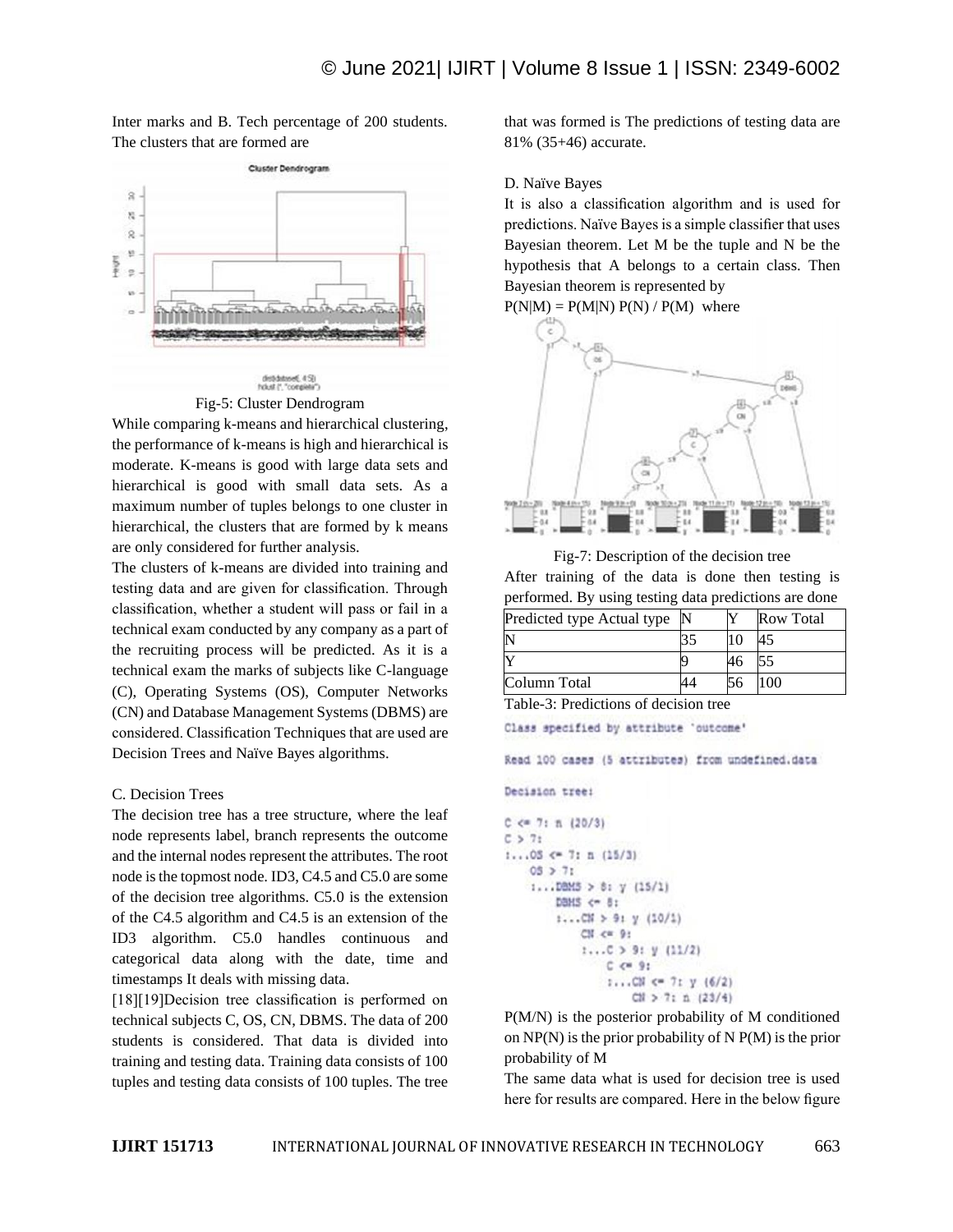Inter marks and B. Tech percentage of 200 students. The clusters that are formed are



Fig-5: Cluster Dendrogram

While comparing k-means and hierarchical clustering, the performance of k-means is high and hierarchical is moderate. K-means is good with large data sets and hierarchical is good with small data sets. As a maximum number of tuples belongs to one cluster in hierarchical, the clusters that are formed by k means are only considered for further analysis.

The clusters of k-means are divided into training and testing data and are given for classification. Through classification, whether a student will pass or fail in a technical exam conducted by any company as a part of the recruiting process will be predicted. As it is a technical exam the marks of subjects like C-language (C), Operating Systems (OS), Computer Networks (CN) and Database Management Systems (DBMS) are considered. Classification Techniques that are used are Decision Trees and Naïve Bayes algorithms.

# C. Decision Trees

The decision tree has a tree structure, where the leaf node represents label, branch represents the outcome and the internal nodes represent the attributes. The root node is the topmost node. ID3, C4.5 and C5.0 are some of the decision tree algorithms. C5.0 is the extension of the C4.5 algorithm and C4.5 is an extension of the ID3 algorithm. C5.0 handles continuous and categorical data along with the date, time and timestamps It deals with missing data.

[18][19]Decision tree classification is performed on technical subjects C, OS, CN, DBMS. The data of 200 students is considered. That data is divided into training and testing data. Training data consists of 100 tuples and testing data consists of 100 tuples. The tree

that was formed is The predictions of testing data are 81% (35+46) accurate.

#### D. Naïve Bayes

It is also a classification algorithm and is used for predictions. Naïve Bayes is a simple classifier that uses Bayesian theorem. Let M be the tuple and N be the hypothesis that A belongs to a certain class. Then Bayesian theorem is represented by





Fig-7: Description of the decision tree After training of the data is done then testing is performed. By using testing data predictions are done

| Predicted type Actual type |    | <b>Row Total</b> |
|----------------------------|----|------------------|
|                            | 10 |                  |
|                            |    |                  |
| Column Total               |    |                  |

Table-3: Predictions of decision tree

Class specified by attribute 'outcome'

Read 100 cases (5 attributes) from undefined.data

```
Decision tree:
```

```
C \le 7: n (20/3)
C > 7:
1...05 \leftarrow 7: n (15/3)05 > 711...DBMS > 8: y (15/1)
         DBMS <= 8:
         1...CN > 91 y (10/1)
              CN < <math>9</math>1...C > 9: y (11/2)
                   C < 9:
                   1...CM \leftarrow 71 y (6/2)CM > 7: \pm (23/4)
```
P(M/N) is the posterior probability of M conditioned on  $NP(N)$  is the prior probability of N  $P(M)$  is the prior probability of M

The same data what is used for decision tree is used here for results are compared. Here in the below figure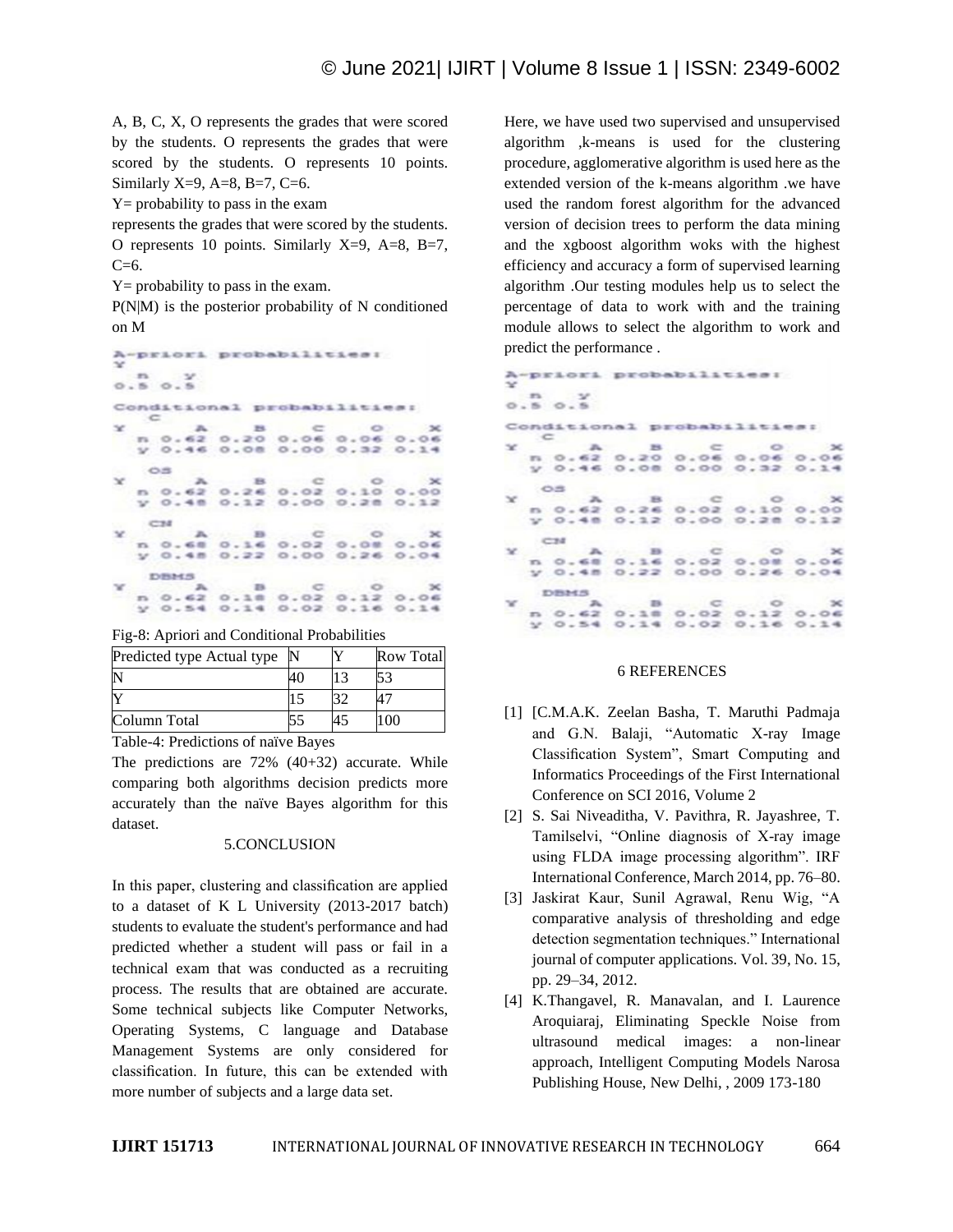A, B, C, X, O represents the grades that were scored by the students. O represents the grades that were scored by the students. O represents 10 points. Similarly X=9, A=8, B=7, C=6.

 $Y =$  probability to pass in the exam

represents the grades that were scored by the students. O represents 10 points. Similarly  $X=9$ ,  $A=8$ ,  $B=7$ ,  $C=6$ .

 $Y =$  probability to pass in the exam.

P(N|M) is the posterior probability of N conditioned on M



Fig-8: Apriori and Conditional Probabilities

| Predicted type Actual type |  | <b>Row Total</b> |
|----------------------------|--|------------------|
|                            |  |                  |
|                            |  |                  |
| Column Total               |  |                  |

Table-4: Predictions of naïve Bayes

The predictions are 72% (40+32) accurate. While comparing both algorithms decision predicts more accurately than the naïve Bayes algorithm for this dataset.

## 5.CONCLUSION

In this paper, clustering and classification are applied to a dataset of K L University (2013-2017 batch) students to evaluate the student's performance and had predicted whether a student will pass or fail in a technical exam that was conducted as a recruiting process. The results that are obtained are accurate. Some technical subjects like Computer Networks, Operating Systems, C language and Database Management Systems are only considered for classification. In future, this can be extended with more number of subjects and a large data set.

Here, we have used two supervised and unsupervised algorithm ,k-means is used for the clustering procedure, agglomerative algorithm is used here as the extended version of the k-means algorithm .we have used the random forest algorithm for the advanced version of decision trees to perform the data mining and the xgboost algorithm woks with the highest efficiency and accuracy a form of supervised learning algorithm .Our testing modules help us to select the percentage of data to work with and the training module allows to select the algorithm to work and predict the performance .

| $\sim$        |      | n y<br>0.50.5 | A-priori probabilities:      |  |  |
|---------------|------|---------------|------------------------------|--|--|
|               |      |               | Conditional probabilities:   |  |  |
| SE.           | ਂ⊂   |               | $A$ $B$ $C$ $0$ $X$          |  |  |
|               |      |               | n 0.62 0.20 0.06 0.06 0.06   |  |  |
|               |      |               | y 0.46 0.08 0.00 0.32 0.14   |  |  |
|               | - 05 |               |                              |  |  |
|               |      | $x = -1$      | $A$ $B$ $C$ $O$ $X$          |  |  |
|               |      |               | n 0.62 0.26 0.02 0.10 0.00   |  |  |
|               |      |               | y 0.48 0.12 0.00 0.28 0.12   |  |  |
|               | C24  |               |                              |  |  |
| $\mathcal{R}$ |      |               | A B C O X                    |  |  |
|               |      |               | n 0.68 0.16 0.02 0.08 0.06   |  |  |
|               |      |               | $y$ 0.48 0.22 0.00 0.26 0.04 |  |  |
|               |      | DBMS          |                              |  |  |
| $\mathbf{x}$  |      |               | $A$ $B$ $C$ $O$ $X$          |  |  |
|               |      |               | n 0.62 0.18 0.02 0.12 0.06   |  |  |
|               |      |               | V 0.54 0.14 0.02 0.16 0.14   |  |  |

## 6 REFERENCES

- [1] [C.M.A.K. Zeelan Basha, T. Maruthi Padmaja and G.N. Balaji, "Automatic X-ray Image Classification System", Smart Computing and Informatics Proceedings of the First International Conference on SCI 2016, Volume 2
- [2] S. Sai Niveaditha, V. Pavithra, R. Jayashree, T. Tamilselvi, "Online diagnosis of X-ray image using FLDA image processing algorithm". IRF International Conference, March 2014, pp. 76–80.
- [3] Jaskirat Kaur, Sunil Agrawal, Renu Wig, "A comparative analysis of thresholding and edge detection segmentation techniques." International journal of computer applications. Vol. 39, No. 15, pp. 29–34, 2012.
- [4] K.Thangavel, R. Manavalan, and I. Laurence Aroquiaraj, Eliminating Speckle Noise from ultrasound medical images: a non-linear approach, Intelligent Computing Models Narosa Publishing House, New Delhi, , 2009 173-180